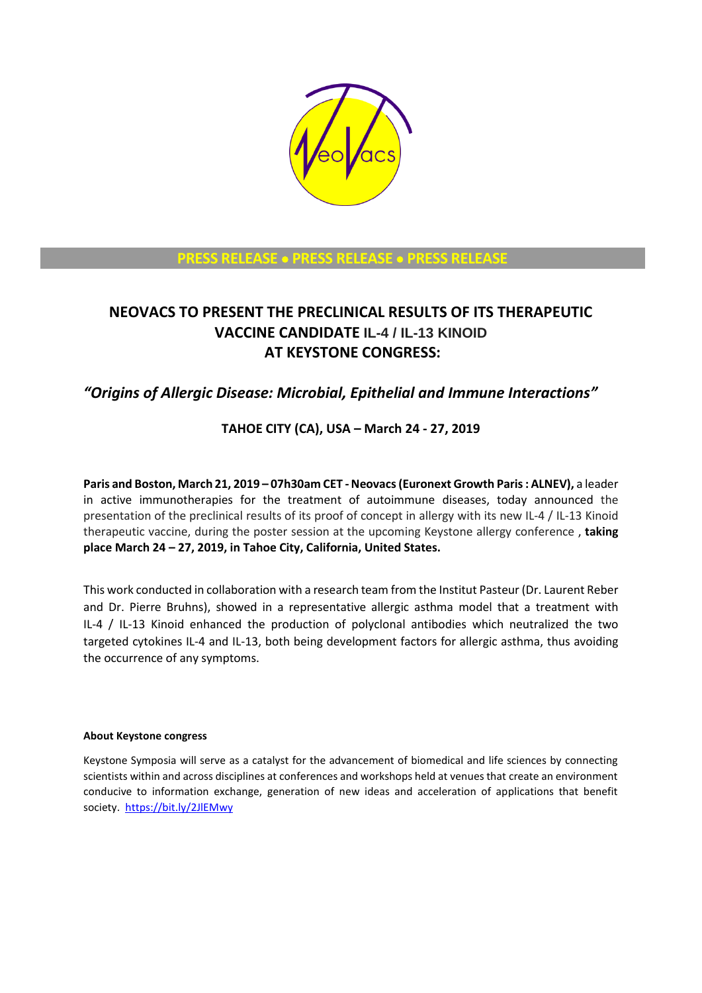

### **PRESS RELEASE** • **PRESS RELEASE** • **PRESS RELEASE**

# **NEOVACS TO PRESENT THE PRECLINICAL RESULTS OF ITS THERAPEUTIC VACCINE CANDIDATE IL-4 / IL-13 KINOID AT KEYSTONE CONGRESS:**

## *"Origins of Allergic Disease: Microbial, Epithelial and Immune Interactions"*

### **TAHOE CITY (CA), USA – March 24 - 27, 2019**

**Paris and Boston, March 21, 2019 – 07h30am CET -Neovacs(Euronext Growth Paris : ALNEV),** a leader in active immunotherapies for the treatment of autoimmune diseases, today announced the presentation of the preclinical results of its proof of concept in allergy with its new IL-4 / IL-13 Kinoid therapeutic vaccine, during the poster session at the upcoming Keystone allergy conference , **taking place March 24 – 27, 2019, in Tahoe City, California, United States.** 

This work conducted in collaboration with a research team from the Institut Pasteur (Dr. Laurent Reber and Dr. Pierre Bruhns), showed in a representative allergic asthma model that a treatment with IL-4 / IL-13 Kinoid enhanced the production of polyclonal antibodies which neutralized the two targeted cytokines IL-4 and IL-13, both being development factors for allergic asthma, thus avoiding the occurrence of any symptoms.

#### **About Keystone congress**

Keystone Symposia will serve as a catalyst for the advancement of biomedical and life sciences by connecting scientists within and across disciplines at conferences and workshops held at venues that create an environment conducive to information exchange, generation of new ideas and acceleration of applications that benefit society.<https://bit.ly/2JlEMwy>